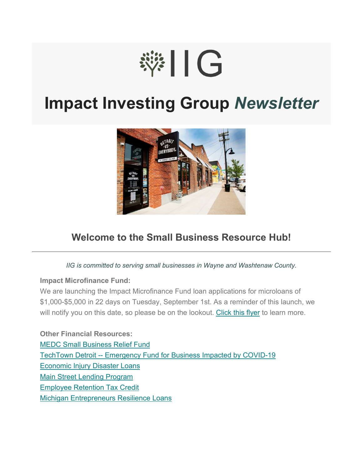# ※11G

# **Impact Investing Group** *Newsletter*



# **Welcome to the Small Business Resource Hub!**

*IIG is committed to serving small businesses in Wayne and Washtenaw County.*

#### **Impact Microfinance Fund:**

We are launching the Impact Microfinance Fund loan applications for microloans of \$1,000-\$5,000 in 22 days on Tuesday, September 1st. As a reminder of this launch, we will notify you on this date, so please be on the lookout. [Click this flyer](https://mcusercontent.com/ec2bf3e24f591672f0750e153/files/950c394f-4a4a-45c3-a044-7b99e6777a3a/ImpactFundFlyer.pdf) to learn more.

**Other Financial Resources:** [MEDC Small Business Relief Fund](https://www.michiganbusiness.org/covid19/) TechTown Detroit -- [Emergency Fund for Business Impacted by COVID-19](https://techtowndetroit.org/covid19-updates/) [Economic Injury Disaster Loans](https://www.sba.gov/funding-programs/loans/coronavirus-relief-options/economic-injury-disaster-loans) [Main Street Lending Program](https://www.bostonfed.org/supervision-and-regulation/supervision/special-facilities/main-street-lending-program/information-for-borrowers.aspx) [Employee Retention Tax Credit](https://www.irs.gov/coronavirus/employee-retention-credit) [Michigan Entrepreneurs Resilience Loans](http://miwf.org/mwf-entrepreneur-resilience-fund/)